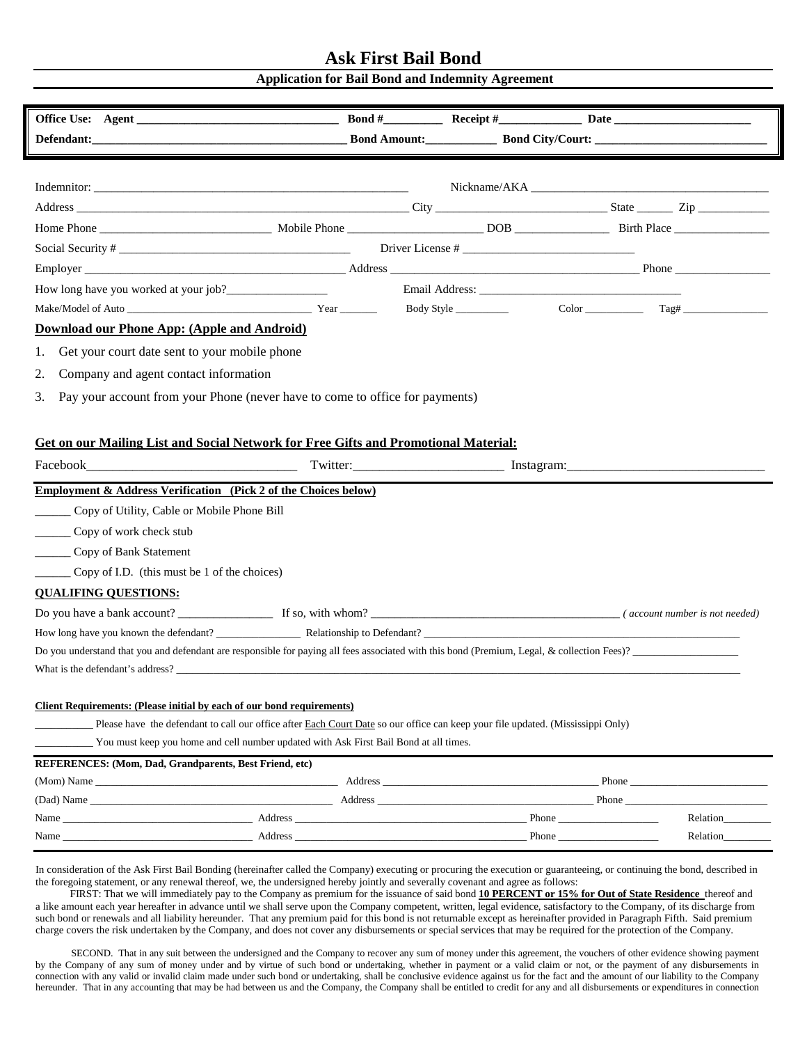## **Ask First Bail Bond**

## **Application for Bail Bond and Indemnity Agreement**

|                                                                                                                                                                                                                                | Defendant: <u>Defendant:</u> Bond Amount: Bond Amount: Bond City/Court: 2000 Context: 2000 City/Court: 2000 City/Court: 2000 City/Court: 2000 City/Court: 2000 City/Court: 2000 City/Court: 2000 City/Court: 2000 City/Court: 2000 |  |                  |
|--------------------------------------------------------------------------------------------------------------------------------------------------------------------------------------------------------------------------------|------------------------------------------------------------------------------------------------------------------------------------------------------------------------------------------------------------------------------------|--|------------------|
|                                                                                                                                                                                                                                |                                                                                                                                                                                                                                    |  |                  |
|                                                                                                                                                                                                                                |                                                                                                                                                                                                                                    |  |                  |
|                                                                                                                                                                                                                                |                                                                                                                                                                                                                                    |  |                  |
|                                                                                                                                                                                                                                |                                                                                                                                                                                                                                    |  |                  |
|                                                                                                                                                                                                                                |                                                                                                                                                                                                                                    |  |                  |
| Employer Phone Phone Phone Phone Phone Phone Phone Phone Phone Phone Phone Phone Phone Phone Phone Phone Phone Phone Phone Phone Phone Phone Phone Phone Phone Phone Phone Phone Phone Phone Phone Phone Phone Phone Phone Pho |                                                                                                                                                                                                                                    |  |                  |
|                                                                                                                                                                                                                                |                                                                                                                                                                                                                                    |  |                  |
|                                                                                                                                                                                                                                |                                                                                                                                                                                                                                    |  |                  |
| Download our Phone App: (Apple and Android)                                                                                                                                                                                    |                                                                                                                                                                                                                                    |  |                  |
| Get your court date sent to your mobile phone<br>1.                                                                                                                                                                            |                                                                                                                                                                                                                                    |  |                  |
| 2.<br>Company and agent contact information                                                                                                                                                                                    |                                                                                                                                                                                                                                    |  |                  |
| 3.<br>Pay your account from your Phone (never have to come to office for payments)                                                                                                                                             |                                                                                                                                                                                                                                    |  |                  |
|                                                                                                                                                                                                                                |                                                                                                                                                                                                                                    |  |                  |
|                                                                                                                                                                                                                                |                                                                                                                                                                                                                                    |  |                  |
| <b>Get on our Mailing List and Social Network for Free Gifts and Promotional Material:</b>                                                                                                                                     |                                                                                                                                                                                                                                    |  |                  |
|                                                                                                                                                                                                                                |                                                                                                                                                                                                                                    |  |                  |
| Employment & Address Verification (Pick 2 of the Choices below)                                                                                                                                                                |                                                                                                                                                                                                                                    |  |                  |
| _____ Copy of Utility, Cable or Mobile Phone Bill                                                                                                                                                                              |                                                                                                                                                                                                                                    |  |                  |
| ______ Copy of work check stub                                                                                                                                                                                                 |                                                                                                                                                                                                                                    |  |                  |
| Copy of Bank Statement                                                                                                                                                                                                         |                                                                                                                                                                                                                                    |  |                  |
| Copy of I.D. (this must be 1 of the choices)                                                                                                                                                                                   |                                                                                                                                                                                                                                    |  |                  |
| <b>QUALIFING QUESTIONS:</b>                                                                                                                                                                                                    |                                                                                                                                                                                                                                    |  |                  |
|                                                                                                                                                                                                                                |                                                                                                                                                                                                                                    |  |                  |
|                                                                                                                                                                                                                                |                                                                                                                                                                                                                                    |  |                  |
|                                                                                                                                                                                                                                |                                                                                                                                                                                                                                    |  |                  |
| What is the defendant's address?                                                                                                                                                                                               |                                                                                                                                                                                                                                    |  |                  |
|                                                                                                                                                                                                                                |                                                                                                                                                                                                                                    |  |                  |
| Client Requirements: (Please initial by each of our bond requirements)                                                                                                                                                         |                                                                                                                                                                                                                                    |  |                  |
| Please have the defendant to call our office after Each Court Date so our office can keep your file updated. (Mississippi Only)                                                                                                |                                                                                                                                                                                                                                    |  |                  |
| You must keep you home and cell number updated with Ask First Bail Bond at all times.                                                                                                                                          |                                                                                                                                                                                                                                    |  |                  |
| REFERENCES: (Mom, Dad, Grandparents, Best Friend, etc)                                                                                                                                                                         |                                                                                                                                                                                                                                    |  |                  |
|                                                                                                                                                                                                                                |                                                                                                                                                                                                                                    |  |                  |
|                                                                                                                                                                                                                                |                                                                                                                                                                                                                                    |  | Relation________ |
|                                                                                                                                                                                                                                |                                                                                                                                                                                                                                    |  | Relation         |
|                                                                                                                                                                                                                                |                                                                                                                                                                                                                                    |  |                  |

In consideration of the Ask First Bail Bonding (hereinafter called the Company) executing or procuring the execution or guaranteeing, or continuing the bond, described in the foregoing statement, or any renewal thereof, we, the undersigned hereby jointly and severally covenant and agree as follows:

 FIRST: That we will immediately pay to the Company as premium for the issuance of said bond **10 PERCENT or 15% for Out of State Residence** thereof and a like amount each year hereafter in advance until we shall serve upon the Company competent, written, legal evidence, satisfactory to the Company, of its discharge from such bond or renewals and all liability hereunder. That any premium paid for this bond is not returnable except as hereinafter provided in Paragraph Fifth. Said premium charge covers the risk undertaken by the Company, and does not cover any disbursements or special services that may be required for the protection of the Company.

SECOND. That in any suit between the undersigned and the Company to recover any sum of money under this agreement, the vouchers of other evidence showing payment by the Company of any sum of money under and by virtue of such bond or undertaking, whether in payment or a valid claim or not, or the payment of any disbursements in connection with any valid or invalid claim made under such bond or undertaking, shall be conclusive evidence against us for the fact and the amount of our liability to the Company hereunder. That in any accounting that may be had between us and the Company, the Company shall be entitled to credit for any and all disbursements or expenditures in connection